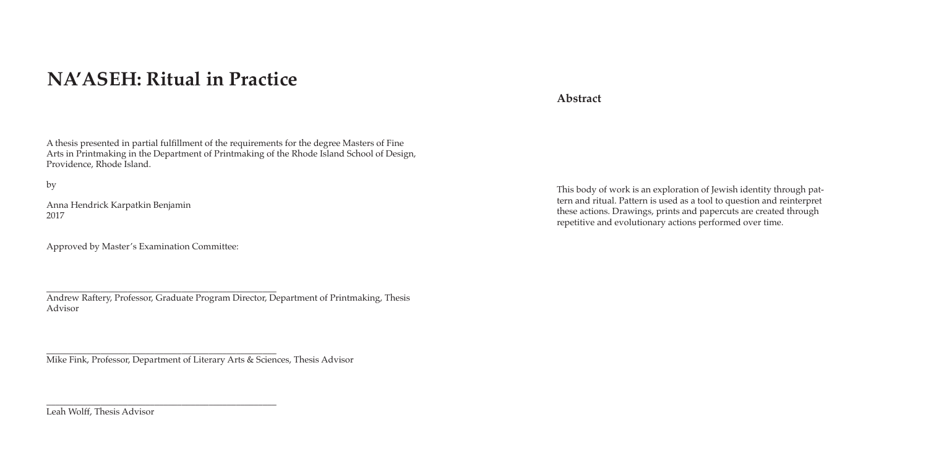# **NA'ASEH: Ritual in Practice**

A thesis presented in partial fulfillment of the requirements for the degree Masters of Fine Arts in Printmaking in the Department of Printmaking of the Rhode Island School of Design, Providence, Rhode Island.

by

Anna Hendrick Karpatkin Benjamin 2017

Approved by Master's Examination Committee:

\_\_\_\_\_\_\_\_\_\_\_\_\_\_\_\_\_\_\_\_\_\_\_\_\_\_\_\_\_\_\_\_\_\_\_\_\_\_\_\_\_\_\_\_\_\_\_\_\_\_\_ Andrew Raftery, Professor, Graduate Program Director, Department of Printmaking, Thesis Advisor

\_\_\_\_\_\_\_\_\_\_\_\_\_\_\_\_\_\_\_\_\_\_\_\_\_\_\_\_\_\_\_\_\_\_\_\_\_\_\_\_\_\_\_\_\_\_\_\_\_\_\_ Mike Fink, Professor, Department of Literary Arts & Sciences, Thesis Advisor

\_\_\_\_\_\_\_\_\_\_\_\_\_\_\_\_\_\_\_\_\_\_\_\_\_\_\_\_\_\_\_\_\_\_\_\_\_\_\_\_\_\_\_\_\_\_\_\_\_\_\_

Leah Wolff, Thesis Advisor

**Abstract**

This body of work is an exploration of Jewish identity through pattern and ritual. Pattern is used as a tool to question and reinterpret these actions. Drawings, prints and papercuts are created through repetitive and evolutionary actions performed over time.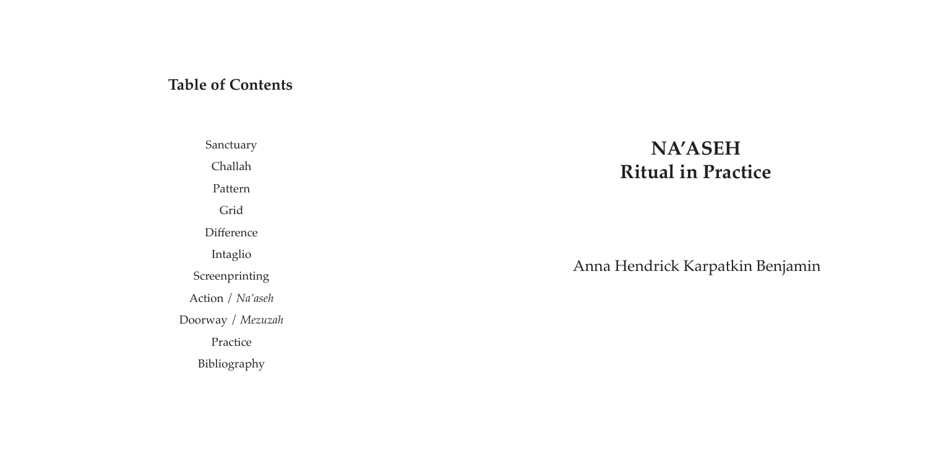## **NA'ASEH Ritual in Practice**

Anna Hendrick Karpatkin Benjamin

### **Table of Contents**

Sanctuary Challah Pattern Grid **Difference** Intaglio Screenprinting Action / *Na'aseh* Doorway / *Mezuzah* Practice Bibliography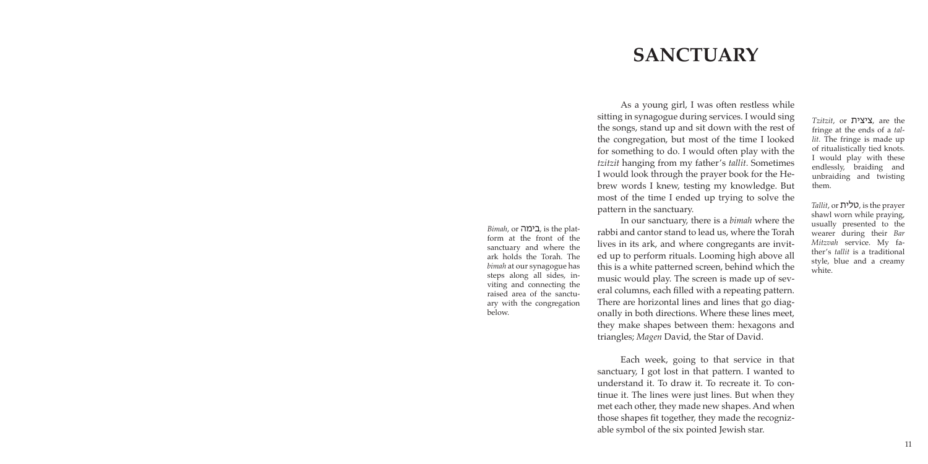# **SANCTUARY**

As a young girl, I was often restless while sitting in synagogue during services. I would sing the songs, stand up and sit down with the rest of the congregation, but most of the time I looked for something to do. I would often play with the *tzitzit* hanging from my father's *tallit*. Sometimes I would look through the prayer book for the Hebrew words I knew, testing my knowledge. But most of the time I ended up trying to solve the pattern in the sanctuary.

In our sanctuary, there is a *bimah* where the rabbi and cantor stand to lead us, where the Torah lives in its ark, and where congregants are invited up to perform rituals. Looming high above all this is a white patterned screen, behind which the music would play. The screen is made up of several columns, each filled with a repeating pattern. There are horizontal lines and lines that go diagonally in both directions. Where these lines meet, they make shapes between them: hexagons and triangles; *Magen* David, the Star of David.

Each week, going to that service in that sanctuary, I got lost in that pattern. I wanted to understand it. To draw it. To recreate it. To continue it. The lines were just lines. But when they met each other, they made new shapes. And when those shapes fit together, they made the recognizable symbol of the six pointed Jewish star.

*Tzitzit*, or ציצית, are the fringe at the ends of a *tallit.* The fringe is made up of ritualistically tied knots. I would play with these endlessly, braiding and unbraiding and twisting them.

*Tallit*, or טלית, is the prayer shawl worn while praying, usually presented to the wearer during their *Bar Mitzvah* service. My father's *tallit* is a traditional style, blue and a creamy white.

*Bimah*, or בימה, is the platform at the front of the sanctuary and where the ark holds the Torah. The *bimah* at our synagogue has steps along all sides, inviting and connecting the raised area of the sanctuary with the congregation below.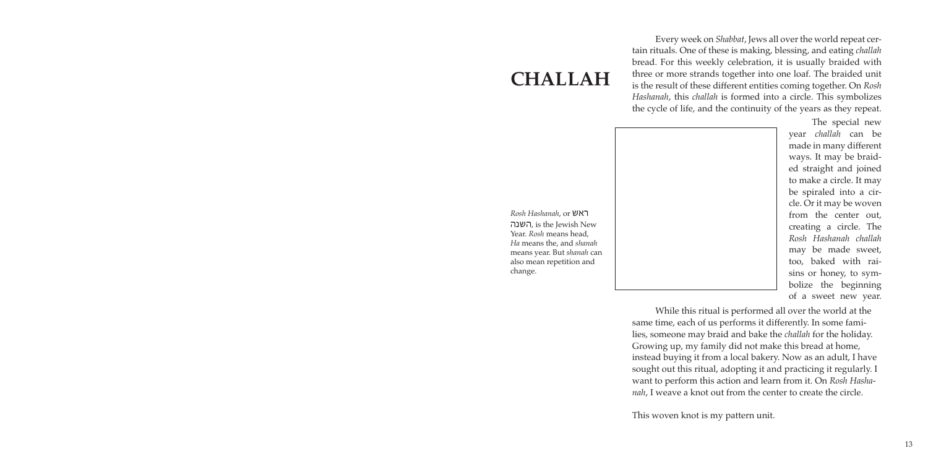## **CHALLAH**

Every week on *Shabbat*, Jews all over the world repeat certain rituals. One of these is making, blessing, and eating *challah* bread. For this weekly celebration, it is usually braided with three or more strands together into one loaf. The braided unit is the result of these different entities coming together. On *Rosh Hashanah*, this *challah* is formed into a circle. This symbolizes the cycle of life, and the continuity of the years as they repeat.

While this ritual is performed all over the world at the same time, each of us performs it differently. In some families, someone may braid and bake the *challah* for the holiday. Growing up, my family did not make this bread at home, instead buying it from a local bakery. Now as an adult, I have sought out this ritual, adopting it and practicing it regularly. I want to perform this action and learn from it. On *Rosh Hashanah*, I weave a knot out from the center to create the circle.

This woven knot is my pattern unit.

The special new year *challah* can be made in many different ways. It may be braided straight and joined to make a circle. It may be spiraled into a circle. Or it may be woven from the center out, creating a circle. The *Rosh Hashanah challah*  may be made sweet, too, baked with raisins or honey, to symbolize the beginning of a sweet new year.

*Rosh Hashanah*, or ראש השנה, is the Jewish New Year. *Rosh* means head, *Ha* means the, and *shanah* means year. But *shanah* can also mean repetition and change.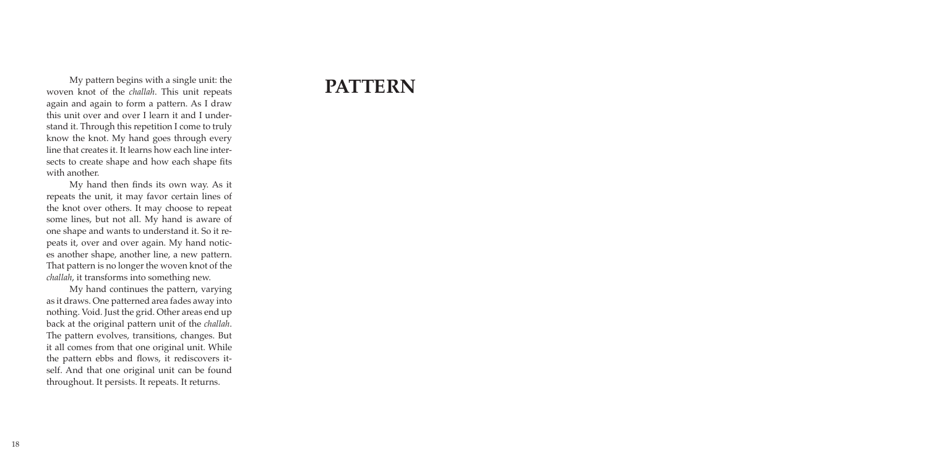My pattern begins with a single unit: the **PATTERN** woven knot of the *challah*. This unit repeats again and again to form a pattern. As I draw this unit over and over I learn it and I understand it. Through this repetition I come to truly know the knot. My hand goes through every line that creates it. It learns how each line intersects to create shape and how each shape fits with another.

My hand then finds its own way. As it repeats the unit, it may favor certain lines of the knot over others. It may choose to repeat some lines, but not all. My hand is aware of one shape and wants to understand it. So it repeats it, over and over again. My hand notices another shape, another line, a new pattern. That pattern is no longer the woven knot of the *challah*, it transforms into something new.

My hand continues the pattern, varying as it draws. One patterned area fades away into nothing. Void. Just the grid. Other areas end up back at the original pattern unit of the *challah*. The pattern evolves, transitions, changes. But it all comes from that one original unit. While the pattern ebbs and flows, it rediscovers itself. And that one original unit can be found throughout. It persists. It repeats. It returns.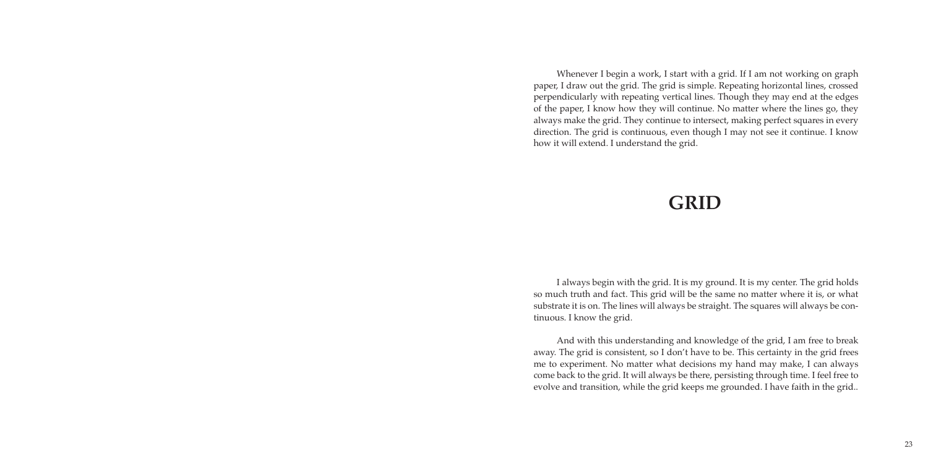# **GRID**

Whenever I begin a work, I start with a grid. If I am not working on graph paper, I draw out the grid. The grid is simple. Repeating horizontal lines, crossed perpendicularly with repeating vertical lines. Though they may end at the edges of the paper, I know how they will continue. No matter where the lines go, they always make the grid. They continue to intersect, making perfect squares in every direction. The grid is continuous, even though I may not see it continue. I know how it will extend. I understand the grid.

I always begin with the grid. It is my ground. It is my center. The grid holds so much truth and fact. This grid will be the same no matter where it is, or what substrate it is on. The lines will always be straight. The squares will always be continuous. I know the grid.

And with this understanding and knowledge of the grid, I am free to break away. The grid is consistent, so I don't have to be. This certainty in the grid frees me to experiment. No matter what decisions my hand may make, I can always come back to the grid. It will always be there, persisting through time. I feel free to evolve and transition, while the grid keeps me grounded. I have faith in the grid..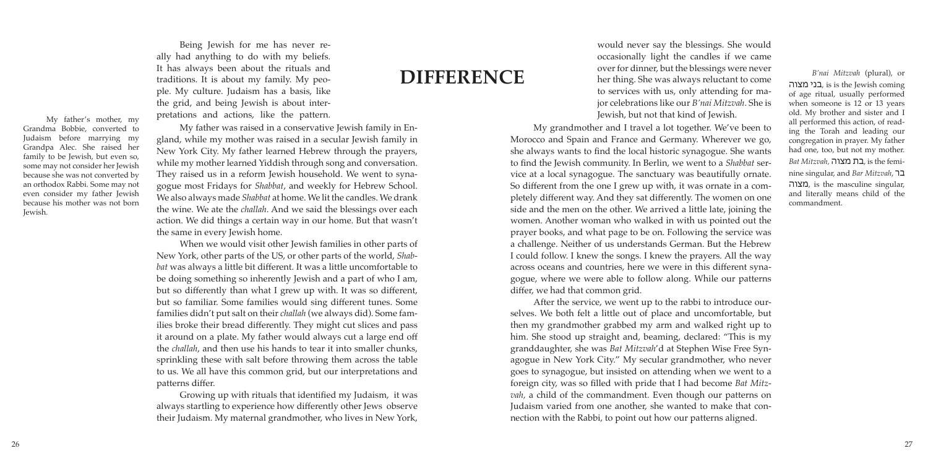My grandmother and I travel a lot together. We've been to Morocco and Spain and France and Germany. Wherever we go, she always wants to find the local historic synagogue. She wants to find the Jewish community. In Berlin, we went to a *Shabbat* service at a local synagogue. The sanctuary was beautifully ornate. So different from the one I grew up with, it was ornate in a completely different way. And they sat differently. The women on one side and the men on the other. We arrived a little late, joining the women. Another woman who walked in with us pointed out the prayer books, and what page to be on. Following the service was a challenge. Neither of us understands German. But the Hebrew I could follow. I knew the songs. I knew the prayers. All the way across oceans and countries, here we were in this different synagogue, where we were able to follow along. While our patterns differ, we had that common grid.

After the service, we went up to the rabbi to introduce ourselves. We both felt a little out of place and uncomfortable, but then my grandmother grabbed my arm and walked right up to him. She stood up straight and, beaming, declared: "This is my granddaughter, she was *Bat Mitzvah*'d at Stephen Wise Free Synagogue in New York City." My secular grandmother, who never goes to synagogue, but insisted on attending when we went to a foreign city, was so filled with pride that I had become *Bat Mitzvah,* a child of the commandment. Even though our patterns on Judaism varied from one another, she wanted to make that connection with the Rabbi, to point out how our patterns aligned.

would never say the blessings. She would occasionally light the candles if we came over for dinner, but the blessings were never her thing. She was always reluctant to come to services with us, only attending for major celebrations like our *B'nai Mitzvah*. She is Jewish, but not that kind of Jewish.

*B'nai Mitzvah* (plural), or מצוה בני, is is the Jewish coming of age ritual, usually performed when someone is 12 or 13 years old. My brother and sister and I all performed this action, of reading the Torah and leading our congregation in prayer. My father had one, too, but not my mother. *Bat Mitzvah,* מצוה בת, is the feminine singular, and *Bar Mitzvah*, בר מצוה, is the masculine singular, and literally means child of the commandment.

### **DIFFERENCE**

Being Jewish for me has never really had anything to do with my beliefs. It has always been about the rituals and traditions. It is about my family. My people. My culture. Judaism has a basis, like the grid, and being Jewish is about interpretations and actions, like the pattern.

My father was raised in a conservative Jewish family in England, while my mother was raised in a secular Jewish family in New York City. My father learned Hebrew through the prayers, while my mother learned Yiddish through song and conversation. They raised us in a reform Jewish household. We went to synagogue most Fridays for *Shabbat*, and weekly for Hebrew School. We also always made *Shabbat* at home. We lit the candles. We drank the wine. We ate the *challah*. And we said the blessings over each action. We did things a certain way in our home. But that wasn't the same in every Jewish home.

When we would visit other Jewish families in other parts of New York, other parts of the US, or other parts of the world, *Shabbat* was always a little bit different. It was a little uncomfortable to be doing something so inherently Jewish and a part of who I am, but so differently than what I grew up with. It was so different, but so familiar. Some families would sing different tunes. Some families didn't put salt on their *challah* (we always did). Some families broke their bread differently. They might cut slices and pass it around on a plate. My father would always cut a large end off the *challah*, and then use his hands to tear it into smaller chunks, sprinkling these with salt before throwing them across the table to us. We all have this common grid, but our interpretations and patterns differ.

Growing up with rituals that identified my Judaism, it was always startling to experience how differently other Jews observe their Judaism. My maternal grandmother, who lives in New York,

My father's mother, my Grandma Bobbie, converted to Judaism before marrying my Grandpa Alec. She raised her family to be Jewish, but even so, some may not consider her Jewish because she was not converted by an orthodox Rabbi. Some may not even consider my father Jewish because his mother was not born Jewish.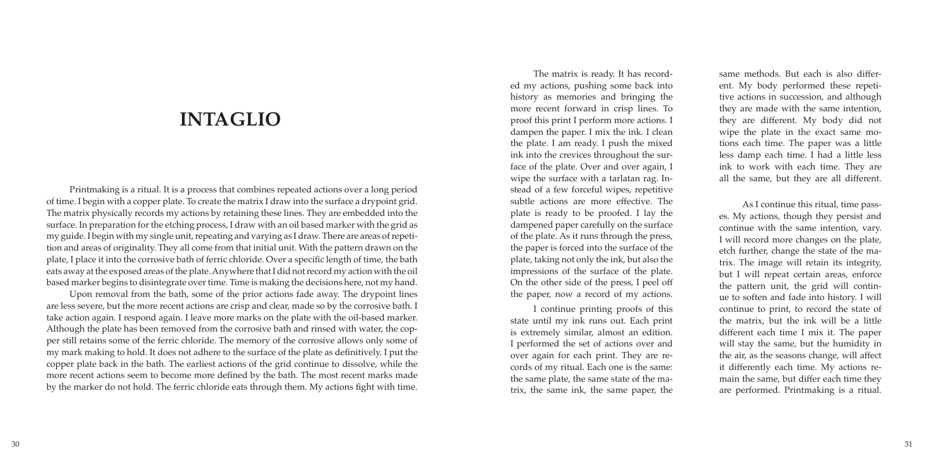The matrix is ready. It has record ed my actions, pushing some back into history as memories and bringing the more recent forward in crisp lines. To proof this print I perform more actions. I dampen the paper. I mix the ink. I clean the plate. I am ready. I push the mixed ink into the crevices throughout the sur face of the plate. Over and over again, I wipe the surface with a tarlatan rag. In stead of a few forceful wipes, repetitive subtle actions are more effective. The plate is ready to be proofed. I lay the dampened paper carefully on the surface of the plate. As it runs through the press, the paper is forced into the surface of the plate, taking not only the ink, but also the impressions of the surface of the plate. On the other side of the press, I peel off the paper, now a record of my actions.

I continue printing proofs of this state until my ink runs out. Each print is extremely similar, almost an edition. I performed the set of actions over and over again for each print. They are re cords of my ritual. Each one is the same: the same plate, the same state of the ma trix, the same ink, the same paper, the

same methods. But each is also differ ent. My body performed these repeti tive actions in succession, and although they are made with the same intention, they are different. My body did not wipe the plate in the exact same mo tions each time. The paper was a little less damp each time. I had a little less ink to work with each time. They are all the same, but they are all different.

As I continue this ritual, time pass es. My actions, though they persist and continue with the same intention, vary. I will record more changes on the plate, etch further, change the state of the ma trix. The image will retain its integrity, but I will repeat certain areas, enforce the pattern unit, the grid will contin ue to soften and fade into history. I will continue to print, to record the state of the matrix, but the ink will be a little different each time I mix it. The paper will stay the same, but the humidity in the air, as the seasons change, will affect it differently each time. My actions re main the same, but differ each time they are performed. Printmaking is a ritual.

### **INTAGLIO**

Printmaking is a ritual. It is a process that combines repeated actions over a long period of time. I begin with a copper plate. To create the matrix I draw into the surface a drypoint grid. The matrix physically records my actions by retaining these lines. They are embedded into the surface. In preparation for the etching process, I draw with an oil based marker with the grid as my guide. I begin with my single unit, repeating and varying as I draw. There are areas of repeti tion and areas of originality. They all come from that initial unit. With the pattern drawn on the plate, I place it into the corrosive bath of ferric chloride. Over a specific length of time, the bath eats away at the exposed areas of the plate. Anywhere that I did not record my action with the oil based marker begins to disintegrate over time. Time is making the decisions here, not my hand.

Upon removal from the bath, some of the prior actions fade away. The drypoint lines are less severe, but the more recent actions are crisp and clear, made so by the corrosive bath. I take action again. I respond again. I leave more marks on the plate with the oil-based marker. Although the plate has been removed from the corrosive bath and rinsed with water, the cop per still retains some of the ferric chloride. The memory of the corrosive allows only some of my mark making to hold. It does not adhere to the surface of the plate as definitively. I put the copper plate back in the bath. The earliest actions of the grid continue to dissolve, while the more recent actions seem to become more defined by the bath. The most recent marks made by the marker do not hold. The ferric chloride eats through them. My actions fight with time.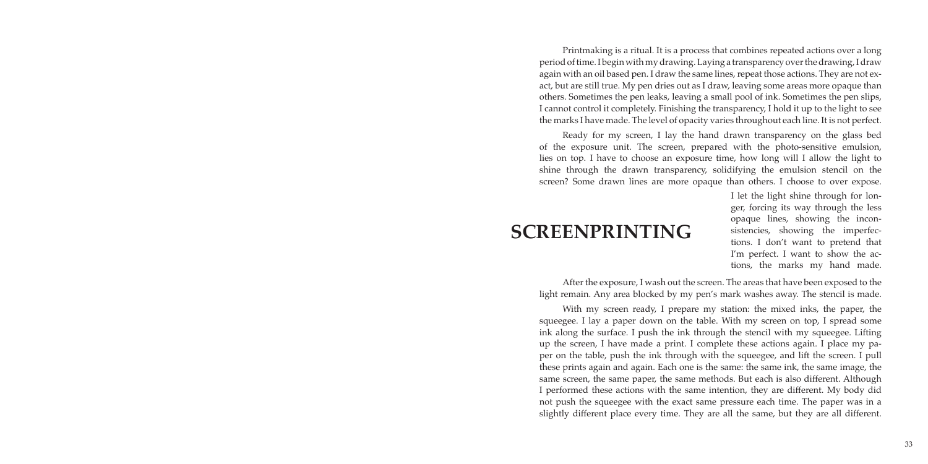# **SCREENPRINTING**

Printmaking is a ritual. It is a process that combines repeated actions over a long period of time. I begin with my drawing. Laying a transparency over the drawing, I draw again with an oil based pen. I draw the same lines, repeat those actions. They are not exact, but are still true. My pen dries out as I draw, leaving some areas more opaque than others. Sometimes the pen leaks, leaving a small pool of ink. Sometimes the pen slips, I cannot control it completely. Finishing the transparency, I hold it up to the light to see the marks I have made. The level of opacity varies throughout each line. It is not perfect.

Ready for my screen, I lay the hand drawn transparency on the glass bed of the exposure unit. The screen, prepared with the photo-sensitive emulsion, lies on top. I have to choose an exposure time, how long will I allow the light to shine through the drawn transparency, solidifying the emulsion stencil on the screen? Some drawn lines are more opaque than others. I choose to over expose.

> I let the light shine through for longer, forcing its way through the less opaque lines, showing the inconsistencies, showing the imperfections. I don't want to pretend that I'm perfect. I want to show the actions, the marks my hand made.

After the exposure, I wash out the screen. The areas that have been exposed to the light remain. Any area blocked by my pen's mark washes away. The stencil is made. With my screen ready, I prepare my station: the mixed inks, the paper, the squeegee. I lay a paper down on the table. With my screen on top, I spread some ink along the surface. I push the ink through the stencil with my squeegee. Lifting up the screen, I have made a print. I complete these actions again. I place my paper on the table, push the ink through with the squeegee, and lift the screen. I pull these prints again and again. Each one is the same: the same ink, the same image, the same screen, the same paper, the same methods. But each is also different. Although I performed these actions with the same intention, they are different. My body did not push the squeegee with the exact same pressure each time. The paper was in a slightly different place every time. They are all the same, but they are all different.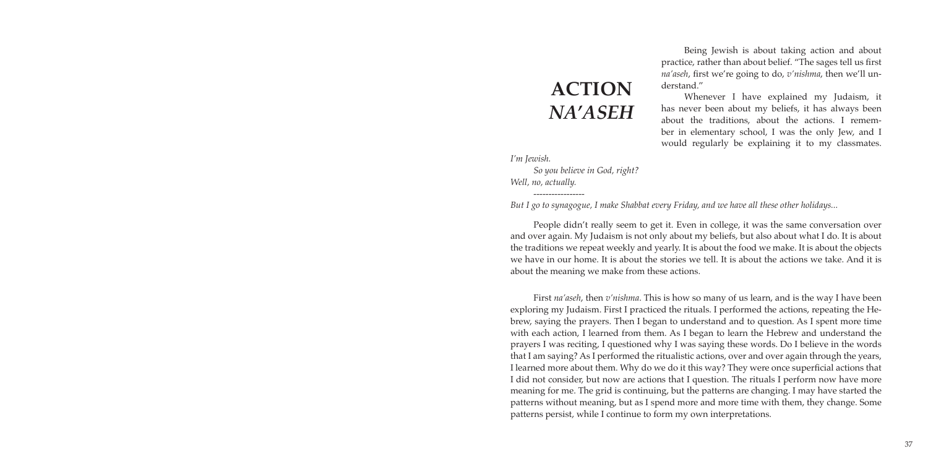# **ACTION** *NA'ASEH*

Being Jewish is about taking action and about practice, rather than about belief. "The sages tell us first *na'aseh*, first we're going to do, *v'nishma*, then we'll understand."

Whenever I have explained my Judaism, it has never been about my beliefs, it has always been about the traditions, about the actions. I remember in elementary school, I was the only Jew, and I would regularly be explaining it to my classmates.

*I'm Jewish. So you believe in God, right? Well, no, actually.*

*-----------------*

*But I go to synagogue, I make Shabbat every Friday, and we have all these other holidays...*

People didn't really seem to get it. Even in college, it was the same conversation over and over again. My Judaism is not only about my beliefs, but also about what I do. It is about the traditions we repeat weekly and yearly. It is about the food we make. It is about the objects we have in our home. It is about the stories we tell. It is about the actions we take. And it is about the meaning we make from these actions.

First *na'aseh*, then *v'nishma*. This is how so many of us learn, and is the way I have been exploring my Judaism. First I practiced the rituals. I performed the actions, repeating the Hebrew, saying the prayers. Then I began to understand and to question. As I spent more time with each action, I learned from them. As I began to learn the Hebrew and understand the prayers I was reciting, I questioned why I was saying these words. Do I believe in the words that I am saying? As I performed the ritualistic actions, over and over again through the years, I learned more about them. Why do we do it this way? They were once superficial actions that I did not consider, but now are actions that I question. The rituals I perform now have more meaning for me. The grid is continuing, but the patterns are changing. I may have started the patterns without meaning, but as I spend more and more time with them, they change. Some patterns persist, while I continue to form my own interpretations.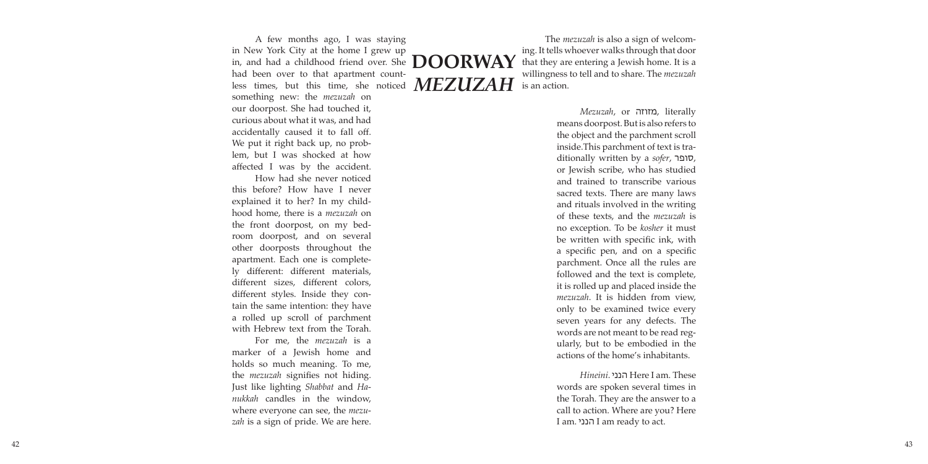*Mezuzah*, or מזוזה, literally means doorpost. But is also refers to the object and the parchment scroll inside.This parchment of text is tra ditionally written by a *sofer*, סופר, or Jewish scribe, who has studied and trained to transcribe various sacred texts. There are many laws and rituals involved in the writing of these texts, and the *mezuzah* is no exception. To be *kosher* it must be written with specific ink, with a specific pen, and on a specific parchment. Once all the rules are followed and the text is complete, it is rolled up and placed inside the *mezuzah*. It is hidden from view, only to be examined twice every seven years for any defects. The words are not meant to be read reg ularly, but to be embodied in the actions of the home's inhabitants.

*Hineini*. הנני Here I am. These words are spoken several times in the Torah. They are the answer to a call to action. Where are you? Here I am. הנני I am ready to act.

The *mezuzah* is also a sign of welcom ing. It tells whoever walks through that door that they are entering a Jewish home. It is a willingness to tell and to share. The *mezuzah* is an action.

# **DOORWAY** *MEZUZAH*

How had she never noticed this before? How have I never explained it to her? In my child hood home, there is a *mezuzah* on the front doorpost, on my bed room doorpost, and on several other doorposts throughout the apartment. Each one is complete ly different: different materials, different sizes, different colors, different styles. Inside they con tain the same intention: they have a rolled up scroll of parchment with Hebrew text from the Torah.

something new: the *mezuzah* on our doorpost. She had touched it, curious about what it was, and had accidentally caused it to fall off. We put it right back up, no prob lem, but I was shocked at how affected I was by the accident. A few months ago, I was staying in New York City at the home I grew up in, and had a childhood friend over. She had been over to that apartment count less times, but this time, she noticed

For me, the *mezuzah* is a marker of a Jewish home and holds so much meaning. To me, the *mezuzah* signifies not hiding. Just like lighting *Shabbat* and *Ha nukkah* candles in the window, where everyone can see, the *mezu zah* is a sign of pride. We are here.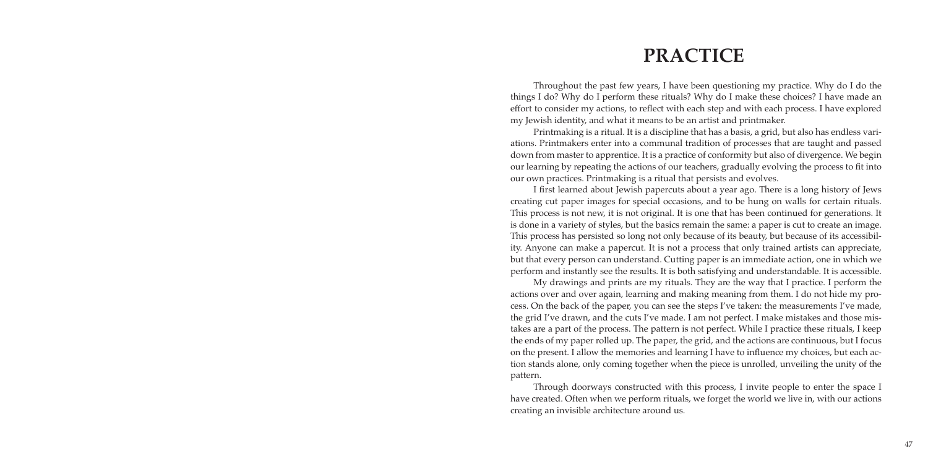# **PRACTICE**

Throughout the past few years, I have been questioning my practice. Why do I do the things I do? Why do I perform these rituals? Why do I make these choices? I have made an effort to consider my actions, to reflect with each step and with each process. I have explored my Jewish identity, and what it means to be an artist and printmaker.

Printmaking is a ritual. It is a discipline that has a basis, a grid, but also has endless variations. Printmakers enter into a communal tradition of processes that are taught and passed down from master to apprentice. It is a practice of conformity but also of divergence. We begin our learning by repeating the actions of our teachers, gradually evolving the process to fit into our own practices. Printmaking is a ritual that persists and evolves.

I first learned about Jewish papercuts about a year ago. There is a long history of Jews creating cut paper images for special occasions, and to be hung on walls for certain rituals. This process is not new, it is not original. It is one that has been continued for generations. It is done in a variety of styles, but the basics remain the same: a paper is cut to create an image. This process has persisted so long not only because of its beauty, but because of its accessibility. Anyone can make a papercut. It is not a process that only trained artists can appreciate, but that every person can understand. Cutting paper is an immediate action, one in which we perform and instantly see the results. It is both satisfying and understandable. It is accessible. My drawings and prints are my rituals. They are the way that I practice. I perform the actions over and over again, learning and making meaning from them. I do not hide my process. On the back of the paper, you can see the steps I've taken: the measurements I've made, the grid I've drawn, and the cuts I've made. I am not perfect. I make mistakes and those mistakes are a part of the process. The pattern is not perfect. While I practice these rituals, I keep the ends of my paper rolled up. The paper, the grid, and the actions are continuous, but I focus on the present. I allow the memories and learning I have to influence my choices, but each action stands alone, only coming together when the piece is unrolled, unveiling the unity of the

pattern.

Through doorways constructed with this process, I invite people to enter the space I have created. Often when we perform rituals, we forget the world we live in, with our actions creating an invisible architecture around us.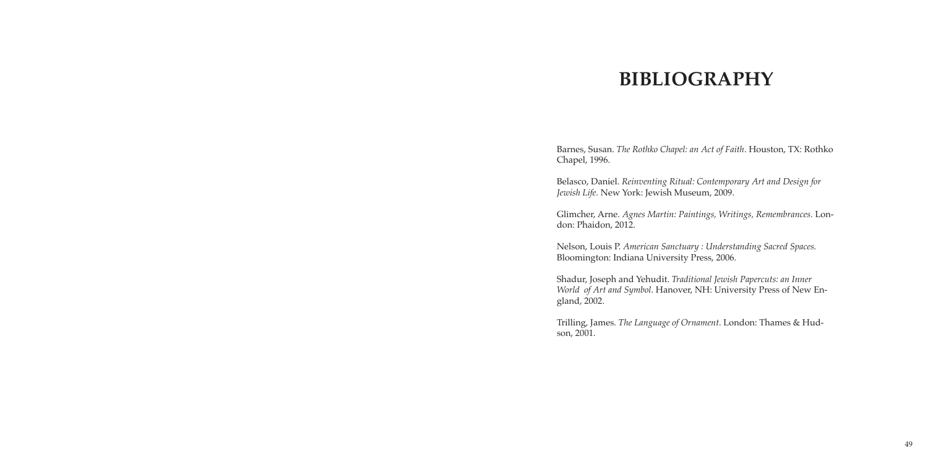# **BIBLIOGRAPHY**

Barnes, Susan. *The Rothko Chapel: an Act of Faith*. Houston, TX: Rothko Chapel, 1996.

Belasco, Daniel. *Reinventing Ritual: Contemporary Art and Design for Jewish Life.* New York: Jewish Museum, 2009.

Glimcher, Arne. *Agnes Martin: Paintings, Writings, Remembrances.* London: Phaidon, 2012.

Nelson, Louis P. *American Sanctuary : Understanding Sacred Spaces.* Bloomington: Indiana University Press, 2006.

Shadur, Joseph and Yehudit. *Traditional Jewish Papercuts: an Inner World of Art and Symbol*. Hanover, NH: University Press of New England, 2002.

Trilling, James. *The Language of Ornament*. London: Thames & Hud-

son, 2001.